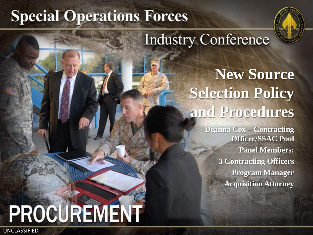# **Special Operations Forces**



# **Industry Conference**

# **New Source Selection Policy and Procedures**

**Deanna Cox – Contracting Officer/SSAC Pool Panel Members: 3 Contracting Officers Program Manager Acquisition Attorney**

# PROCUREMENT

UNCLASSIFIED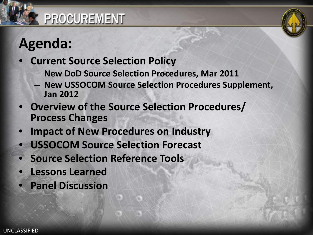# **Agenda:**

#### • **Current Source Selection Policy**

- **New DoD Source Selection Procedures, Mar 2011**
- **New USSOCOM Source Selection Procedures Supplement, Jan 2012**
- **Overview of the Source Selection Procedures/ Process Changes**
- **Impact of New Procedures on Industry**
- **USSOCOM Source Selection Forecast**
- **Source Selection Reference Tools**
- **Lessons Learned**
- **Panel Discussion**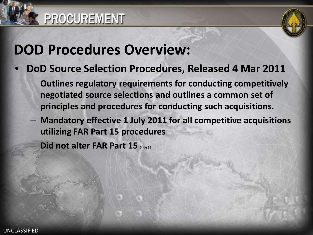

# **DOD Procedures Overview:**

- **DoD Source Selection Procedures, Released 4 Mar 2011**
	- **Outlines regulatory requirements for conducting competitively negotiated source selections and outlines a common set of principles and procedures for conducting such acquisitions.**
	- **Mandatory effective 1 July 2011 for all competitive acquisitions utilizing FAR Part 15 procedures**

Did not alter FAR Part 15 Slide 16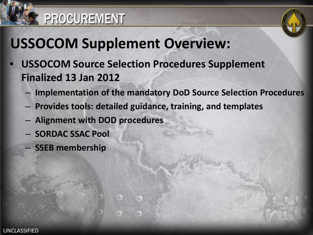



# **USSOCOM Supplement Overview:**

- **USSOCOM Source Selection Procedures Supplement Finalized 13 Jan 2012**
	- **Implementation of the mandatory DoD Source Selection Procedures**
	- **Provides tools: detailed guidance, training, and templates**
	- **Alignment with DOD procedures**
	- **SORDAC SSAC Pool**
	- **SSEB membership**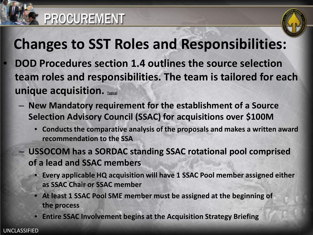

# **Changes to SST Roles and Responsibilities:**

- **DOD Procedures section 1.4 outlines the source selection team roles and responsibilities. The team is tailored for each unique acquisition.** Typical
	- **New Mandatory requirement for the establishment of a Source Selection Advisory Council (SSAC) for acquisitions over \$100M**
		- **Conducts the comparative analysis of the proposals and makes a written award recommendation to the SSA**
		- **USSOCOM has a SORDAC standing SSAC rotational pool comprised of a lead and SSAC members**
			- **Every applicable HQ acquisition will have 1 SSAC Pool member assigned either as SSAC Chair or SSAC member**
			- **At least 1 SSAC Pool SME member must be assigned at the beginning of the process**
			- **Entire SSAC Involvement begins at the Acquisition Strategy Briefing**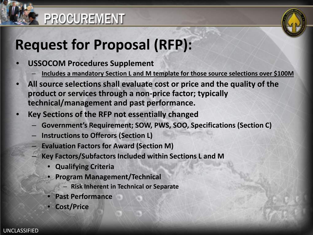

# **Request for Proposal (RFP):**

- **USSOCOM Procedures Supplement**
	- **Includes a mandatory Section L and M template for those source selections over \$100M**
- **All source selections shall evaluate cost or price and the quality of the product or services through a non-price factor; typically technical/management and past performance.**
- **Key Sections of the RFP not essentially changed** 
	- **Government's Requirement; SOW, PWS, SOO, Specifications (Section C)**
	- **Instructions to Offerors (Section L)**
	- **Evaluation Factors for Award (Section M)**
		- **Key Factors/Subfactors Included within Sections L and M**
			- **Qualifying Criteria**
			- **Program Management/Technical**
				- **Risk Inherent in Technical or Separate**
			- **Past Performance**
			- **Cost/Price**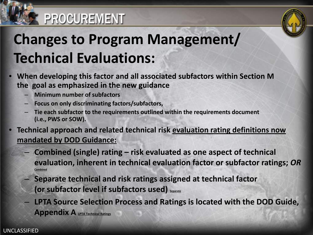

# **Changes to Program Management/ Technical Evaluations:**

- **When developing this factor and all associated subfactors within Section M the goal as emphasized in the new guidance** 
	- **Minimum number of subfactors**
	- **Focus on only discriminating factors/subfactors,**
	- **Tie each subfactor to the requirements outlined within the requirements document (i.e., PWS or SOW).**
- **Technical approach and related technical risk evaluation rating definitions now mandated by DOD Guidance:** 
	- **Combined (single) rating – risk evaluated as one aspect of technical evaluation, inherent in technical evaluation factor or subfactor ratings;** *OR Combined*
	- **Separate technical and risk ratings assigned at technical factor (or subfactor level if subfactors used) Separate**
	- **LPTA Source Selection Process and Ratings is located with the DOD Guide, Appendix A LPTA Technical Ratings**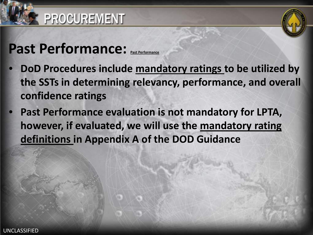

# **Past Performance:** Past Performance

- **DoD Procedures include mandatory ratings to be utilized by the SSTs in determining relevancy, performance, and overall confidence ratings**
- **Past Performance evaluation is not mandatory for LPTA, however, if evaluated, we will use the mandatory rating definitions in Appendix A of the DOD Guidance**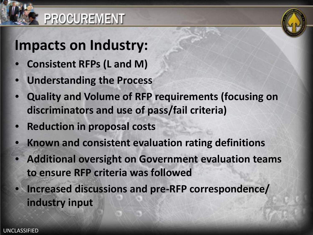

# **Impacts on Industry:**

- **Consistent RFPs (L and M)**
- **Understanding the Process**
- **Quality and Volume of RFP requirements (focusing on discriminators and use of pass/fail criteria)**
- **Reduction in proposal costs**
- **Known and consistent evaluation rating definitions**
- **Additional oversight on Government evaluation teams to ensure RFP criteria was followed**
- **Increased discussions and pre-RFP correspondence/ industry input**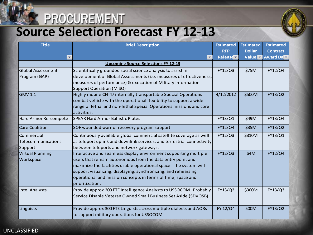# **Source Selection Forecast FY 12-13**



| <b>Title</b>             | <b>Brief Description</b>                                               | <b>Estimated</b> | <b>Estimated</b> | <b>Estimated</b> |
|--------------------------|------------------------------------------------------------------------|------------------|------------------|------------------|
|                          |                                                                        | <b>RFP</b>       | <b>Dollar</b>    | <b>Contract</b>  |
|                          |                                                                        | Release          | Value <b>v</b>   | Award Da         |
|                          | <b>Upcoming Source Selections FY 12-13</b>                             |                  |                  |                  |
| <b>Global Assessment</b> | Scientifically grounded social science analysis to assist in           | FY12/Q3          | \$75M            | FY12/Q4          |
| Program (GAP)            | development of Global Assessments (i.e. measures of effectiveness,     |                  |                  |                  |
|                          | measures of performance) & execution of Military Information           |                  |                  |                  |
|                          | <b>Support Operation (MISO)</b>                                        |                  |                  |                  |
| <b>GMV 1.1</b>           | Highly mobile CH-47 internally transportable Special Operations        | 4/12/2012        | \$500M           | FY13/Q2          |
|                          | combat vehicle with the operational flexibility to support a wide      |                  |                  |                  |
|                          | range of lethal and non-lethal Special Operations missions and core    |                  |                  |                  |
|                          | activities.                                                            |                  |                  |                  |
| Hard Armor Re-compete    | <b>SPEAR Hard Armor Ballistic Plates</b>                               | FY13/Q1          | \$49M            | FY13/Q4          |
| <b>Care Coalition</b>    | SOF wounded warrior recovery program support.                          | FY12/Q4          | \$35M            | FY13/Q2          |
| Commercial               | Continuously available global commercial satellite coverage as well    | FY12/Q3          | \$310M           | FY13/Q1          |
| Telecommunications       | as teleport uplink and downlink services, and terrestrial connectivity |                  |                  |                  |
| Support                  | between teleports and network gateways.                                |                  |                  |                  |
| <b>Virtual Planning</b>  | Interactive and seamless display environment supporting multiple       | FY12/Q3          | \$4M             | FY12/Q4          |
| Workspace                | users that remain autonomous from the data entry point and             |                  |                  |                  |
|                          | maximize the facilities usable operational space. The system will      |                  |                  |                  |
|                          | support visualizing, displaying, synchronizing, and rehearsing         |                  |                  |                  |
|                          | operational and mission concepts in terms of time, space and           |                  |                  |                  |
|                          | prioritization.                                                        |                  |                  |                  |
| <b>Intel Analysts</b>    | Provide approx 200 FTE Intelligence Analysts to USSOCOM. Probably      | FY13/Q2          | \$300M           | FY13/Q3          |
|                          | Service Disable Veteran Owned Small Business Set Aside (SDVOSB)        |                  |                  |                  |
|                          |                                                                        |                  |                  |                  |
| Linguists                | Provide approx 300 FTE Linguists across multiple dialects and AORs     | FY 12/Q4         | 500M             | FY13/Q2          |
|                          | to support military operations for USSOCOM                             |                  |                  |                  |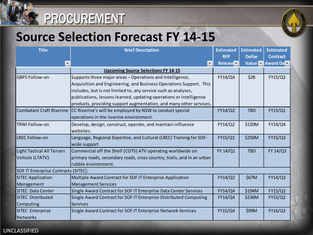

#### **Source Selection Forecast FY 14-15**

| <b>Title</b>                         | <b>Brief Description</b>                                                            | <b>Estimated</b> | <b>Estimated</b> | <b>Estimated</b> |  |
|--------------------------------------|-------------------------------------------------------------------------------------|------------------|------------------|------------------|--|
|                                      |                                                                                     | <b>RFP</b>       | <b>Dollar</b>    | <b>Contract</b>  |  |
|                                      |                                                                                     | Release <b>v</b> |                  | Value Award Da   |  |
|                                      | <b>Upcoming Source Selections FY 14-15</b>                                          |                  |                  |                  |  |
| <b>GBPS Follow-on</b>                | Supports three major areas – Operations and Intelligence,                           | FY14/Q4          | \$2B             | FY15/Q2          |  |
|                                      | Acquisition and Engineering, and Business Operations Support. This                  |                  |                  |                  |  |
|                                      | includes, but is not limited to, any service such as analyses,                      |                  |                  |                  |  |
|                                      | publications, lessons learned, updating operations or intelligence                  |                  |                  |                  |  |
|                                      | products, providing support augmentation, and many other services.                  |                  |                  |                  |  |
|                                      | Combatant Craft Riverine   CC Riverine's will be employed by NSW to conduct special | FY14/Q2          | <b>TBD</b>       | FY15/Q1          |  |
|                                      | operations in the riverine environment.                                             |                  |                  |                  |  |
| <b>TRWI Follow-on</b>                | Develop, design, construct, operate, and maintain influence                         | FY14/Q2          | \$150M           | FY14/Q4          |  |
|                                      | websites.                                                                           |                  |                  |                  |  |
| <b>LREC Follow-on</b>                | Language, Regional Expertise, and Cultural (LREC) Training for SOF-                 | FY15/Q1          | \$250M           | FY15/Q3          |  |
|                                      | wide support                                                                        |                  |                  |                  |  |
| <b>Light Tactical All Terrain</b>    | Commercial off the Shelf (COTS) ATV operating worldwide on                          | FY 14/Q1         | <b>TBD</b>       | FY 14/Q3         |  |
| Vehicle (LTATV)                      | primary roads, secondary roads, cross country, trails, and in an urban              |                  |                  |                  |  |
|                                      | rubble environment.                                                                 |                  |                  |                  |  |
| SOF IT Enterprise Contracts (SITEC): |                                                                                     |                  |                  |                  |  |
| <b>SITEC Application</b>             | Multiple Award Contract for SOF IT Enterprise Application                           | FY14/Q2          | \$67M            | FY14/Q3          |  |
| Management                           | <b>Management Services</b>                                                          |                  |                  |                  |  |
| <b>SITEC Data Center</b>             | Single Award Contract for SOF IT Enterprise Data Center Services                    | FY14/Q4          | \$194M           | FY15/Q2          |  |
| <b>SITEC Distributed</b>             | Single Award Contract for SOF IT Enterprise Distributed Computing                   | FY14/Q4          | \$236M           | FY15/Q2          |  |
| Computing                            | <b>Services</b>                                                                     |                  |                  |                  |  |
| <b>SITEC Enterprise</b>              | Single Award Contract for SOF IT Enterprise Network Services                        | FY15/Q4          | \$99M            | FY16/Q2          |  |
| <b>Networks</b>                      |                                                                                     |                  |                  |                  |  |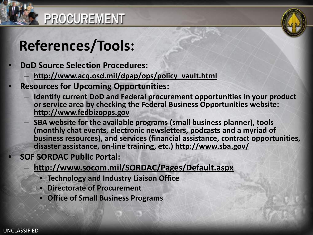

# **References/Tools:**

- **DoD Source Selection Procedures:**
	- **[http://www.acq.osd.mil/dpap/ops/policy\\_vault.html](https://sof.socom.mil/sites/SORDAC/K/Pages/USSOCOMPolicyVault.aspx)**
- **Resources for Upcoming Opportunities:**
	- **Identify current DoD and Federal procurement opportunities in your product or service area by checking the Federal Business Opportunities website: [http://www.fedbizopps.gov](http://www.fedbizopps.gov/)**
	- **SBA website for the available programs (small business planner), tools (monthly chat events, electronic newsletters, podcasts and a myriad of business resources), and services (financial assistance, contract opportunities, disaster assistance, on-line training, etc.) <http://www.sba.gov/>**
	- **SOF SORDAC Public Portal:**
		- **<http://www.socom.mil/SORDAC/Pages/Default.aspx>**
			- **Technology and Industry Liaison Office**
			- **Directorate of Procurement**
			- **Office of Small Business Programs**